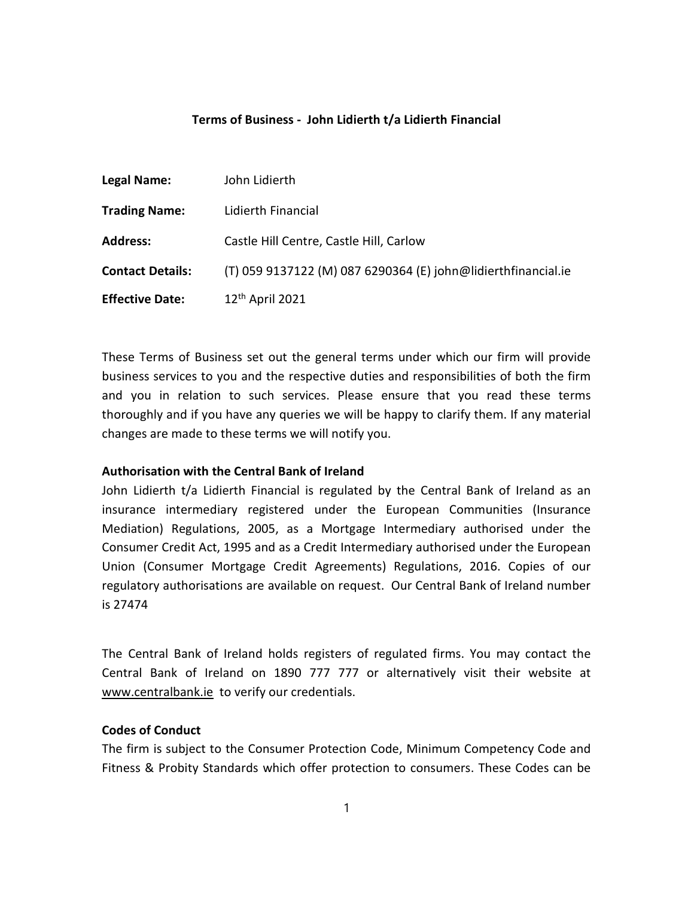## Terms of Business - John Lidierth t/a Lidierth Financial

| <b>Legal Name:</b>      | John Lidierth                                                 |
|-------------------------|---------------------------------------------------------------|
| <b>Trading Name:</b>    | Lidierth Financial                                            |
| <b>Address:</b>         | Castle Hill Centre, Castle Hill, Carlow                       |
| <b>Contact Details:</b> | (T) 059 9137122 (M) 087 6290364 (E) john@lidierthfinancial.ie |
| <b>Effective Date:</b>  | 12 <sup>th</sup> April 2021                                   |

These Terms of Business set out the general terms under which our firm will provide business services to you and the respective duties and responsibilities of both the firm and you in relation to such services. Please ensure that you read these terms thoroughly and if you have any queries we will be happy to clarify them. If any material changes are made to these terms we will notify you.

### Authorisation with the Central Bank of Ireland

John Lidierth t/a Lidierth Financial is regulated by the Central Bank of Ireland as an insurance intermediary registered under the European Communities (Insurance Mediation) Regulations, 2005, as a Mortgage Intermediary authorised under the Consumer Credit Act, 1995 and as a Credit Intermediary authorised under the European Union (Consumer Mortgage Credit Agreements) Regulations, 2016. Copies of our regulatory authorisations are available on request. Our Central Bank of Ireland number is 27474

The Central Bank of Ireland holds registers of regulated firms. You may contact the Central Bank of Ireland on 1890 777 777 or alternatively visit their website at www.centralbank.ie to verify our credentials.

## Codes of Conduct

The firm is subject to the Consumer Protection Code, Minimum Competency Code and Fitness & Probity Standards which offer protection to consumers. These Codes can be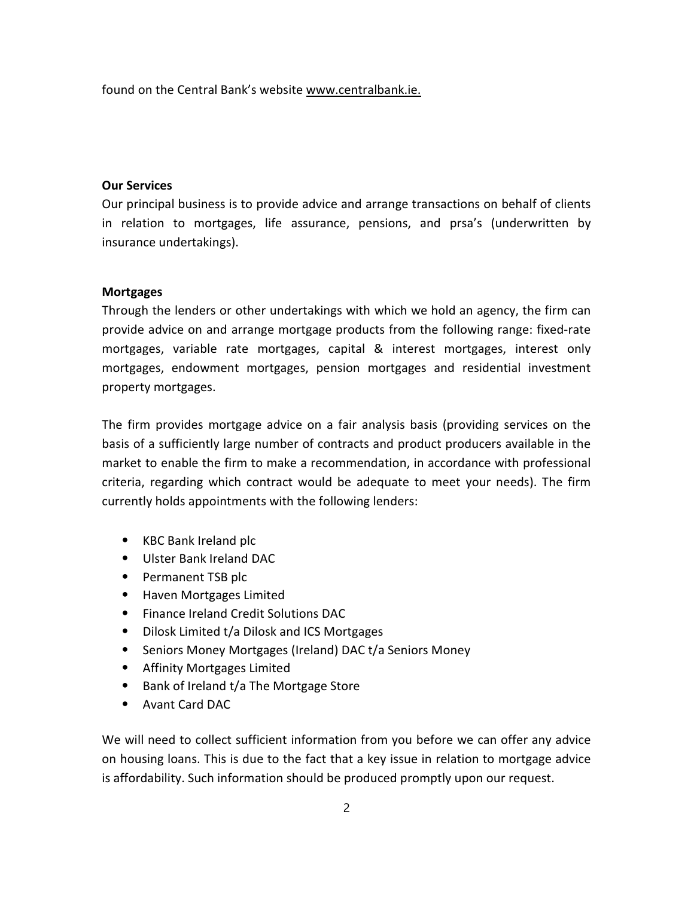found on the Central Bank's website www.centralbank.ie.

# Our Services

Our principal business is to provide advice and arrange transactions on behalf of clients in relation to mortgages, life assurance, pensions, and prsa's (underwritten by insurance undertakings).

## **Mortgages**

Through the lenders or other undertakings with which we hold an agency, the firm can provide advice on and arrange mortgage products from the following range: fixed-rate mortgages, variable rate mortgages, capital & interest mortgages, interest only mortgages, endowment mortgages, pension mortgages and residential investment property mortgages.

The firm provides mortgage advice on a fair analysis basis (providing services on the basis of a sufficiently large number of contracts and product producers available in the market to enable the firm to make a recommendation, in accordance with professional criteria, regarding which contract would be adequate to meet your needs). The firm currently holds appointments with the following lenders:

- ⦁ KBC Bank Ireland plc
- ⦁ Ulster Bank Ireland DAC
- ⦁ Permanent TSB plc
- ⦁ Haven Mortgages Limited
- ⦁ Finance Ireland Credit Solutions DAC
- ⦁ Dilosk Limited t/a Dilosk and ICS Mortgages
- ⦁ Seniors Money Mortgages (Ireland) DAC t/a Seniors Money
- ⦁ Affinity Mortgages Limited
- ⦁ Bank of Ireland t/a The Mortgage Store
- ⦁ Avant Card DAC

We will need to collect sufficient information from you before we can offer any advice on housing loans. This is due to the fact that a key issue in relation to mortgage advice is affordability. Such information should be produced promptly upon our request.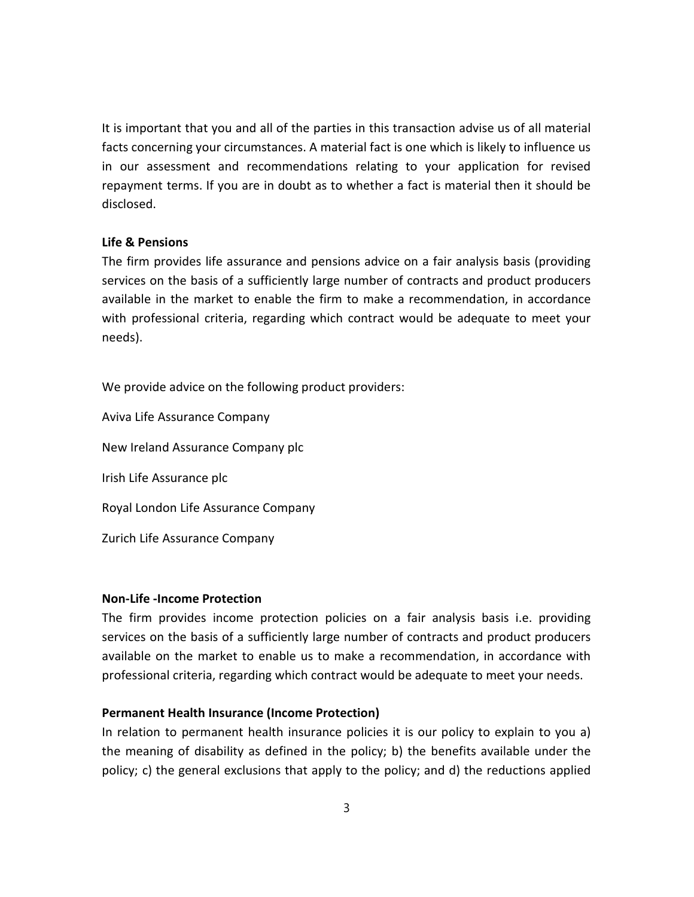It is important that you and all of the parties in this transaction advise us of all material facts concerning your circumstances. A material fact is one which is likely to influence us in our assessment and recommendations relating to your application for revised repayment terms. If you are in doubt as to whether a fact is material then it should be disclosed.

### Life & Pensions

The firm provides life assurance and pensions advice on a fair analysis basis (providing services on the basis of a sufficiently large number of contracts and product producers available in the market to enable the firm to make a recommendation, in accordance with professional criteria, regarding which contract would be adequate to meet your needs).

We provide advice on the following product providers:

Aviva Life Assurance Company New Ireland Assurance Company plc Irish Life Assurance plc Royal London Life Assurance Company Zurich Life Assurance Company

### Non-Life -Income Protection

The firm provides income protection policies on a fair analysis basis i.e. providing services on the basis of a sufficiently large number of contracts and product producers available on the market to enable us to make a recommendation, in accordance with professional criteria, regarding which contract would be adequate to meet your needs.

### Permanent Health Insurance (Income Protection)

In relation to permanent health insurance policies it is our policy to explain to you a) the meaning of disability as defined in the policy; b) the benefits available under the policy; c) the general exclusions that apply to the policy; and d) the reductions applied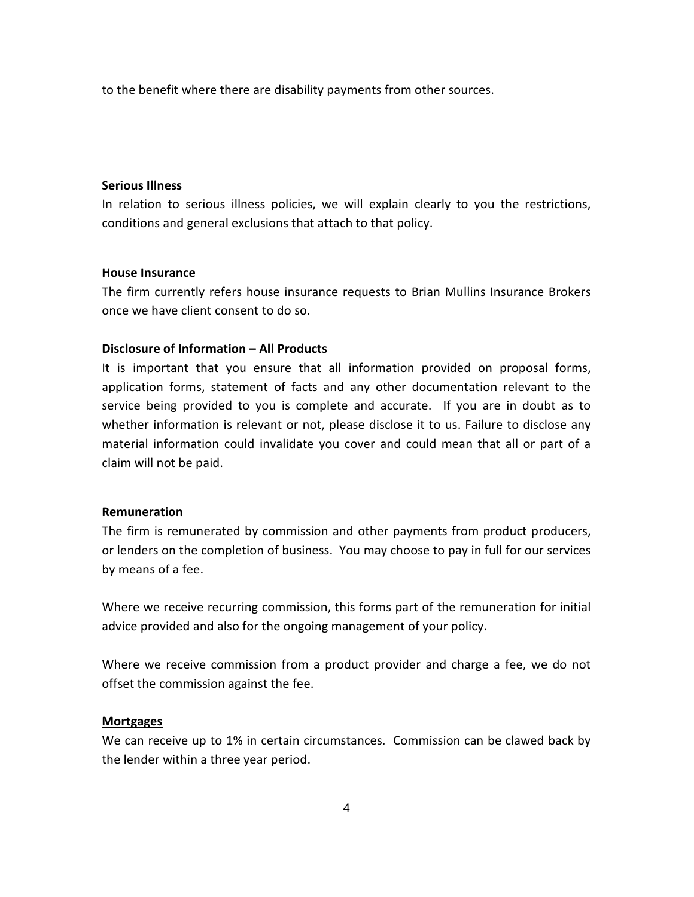to the benefit where there are disability payments from other sources.

### Serious Illness

In relation to serious illness policies, we will explain clearly to you the restrictions, conditions and general exclusions that attach to that policy.

#### House Insurance

The firm currently refers house insurance requests to Brian Mullins Insurance Brokers once we have client consent to do so.

# Disclosure of Information – All Products

It is important that you ensure that all information provided on proposal forms, application forms, statement of facts and any other documentation relevant to the service being provided to you is complete and accurate. If you are in doubt as to whether information is relevant or not, please disclose it to us. Failure to disclose any material information could invalidate you cover and could mean that all or part of a claim will not be paid.

### Remuneration

The firm is remunerated by commission and other payments from product producers, or lenders on the completion of business. You may choose to pay in full for our services by means of a fee.

Where we receive recurring commission, this forms part of the remuneration for initial advice provided and also for the ongoing management of your policy.

Where we receive commission from a product provider and charge a fee, we do not offset the commission against the fee.

### **Mortgages**

We can receive up to 1% in certain circumstances. Commission can be clawed back by the lender within a three year period.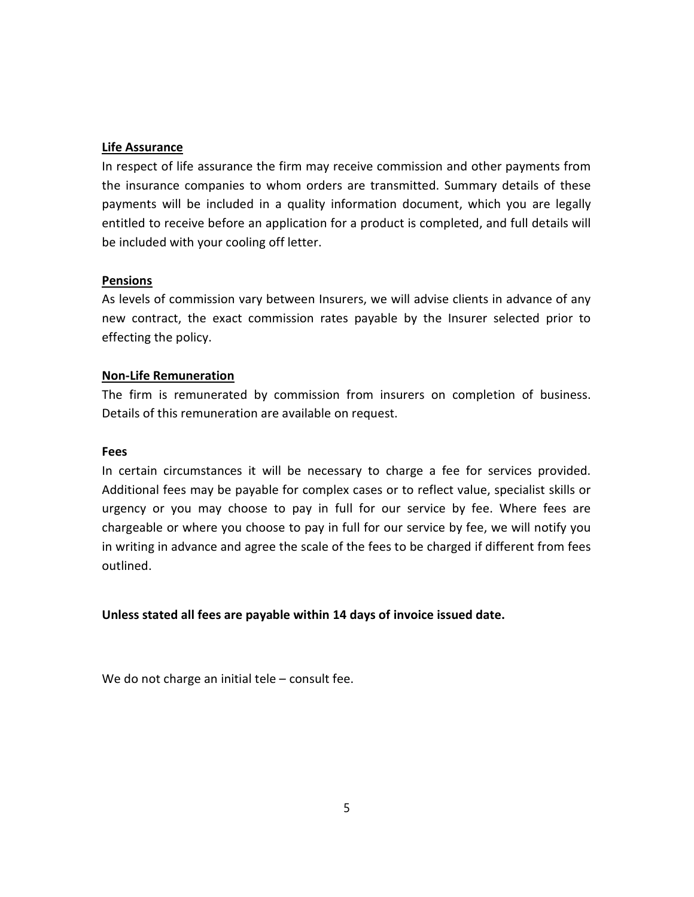# Life Assurance

In respect of life assurance the firm may receive commission and other payments from the insurance companies to whom orders are transmitted. Summary details of these payments will be included in a quality information document, which you are legally entitled to receive before an application for a product is completed, and full details will be included with your cooling off letter.

## Pensions

As levels of commission vary between Insurers, we will advise clients in advance of any new contract, the exact commission rates payable by the Insurer selected prior to effecting the policy.

## Non-Life Remuneration

The firm is remunerated by commission from insurers on completion of business. Details of this remuneration are available on request.

### Fees

In certain circumstances it will be necessary to charge a fee for services provided. Additional fees may be payable for complex cases or to reflect value, specialist skills or urgency or you may choose to pay in full for our service by fee. Where fees are chargeable or where you choose to pay in full for our service by fee, we will notify you in writing in advance and agree the scale of the fees to be charged if different from fees outlined.

Unless stated all fees are payable within 14 days of invoice issued date.

We do not charge an initial tele – consult fee.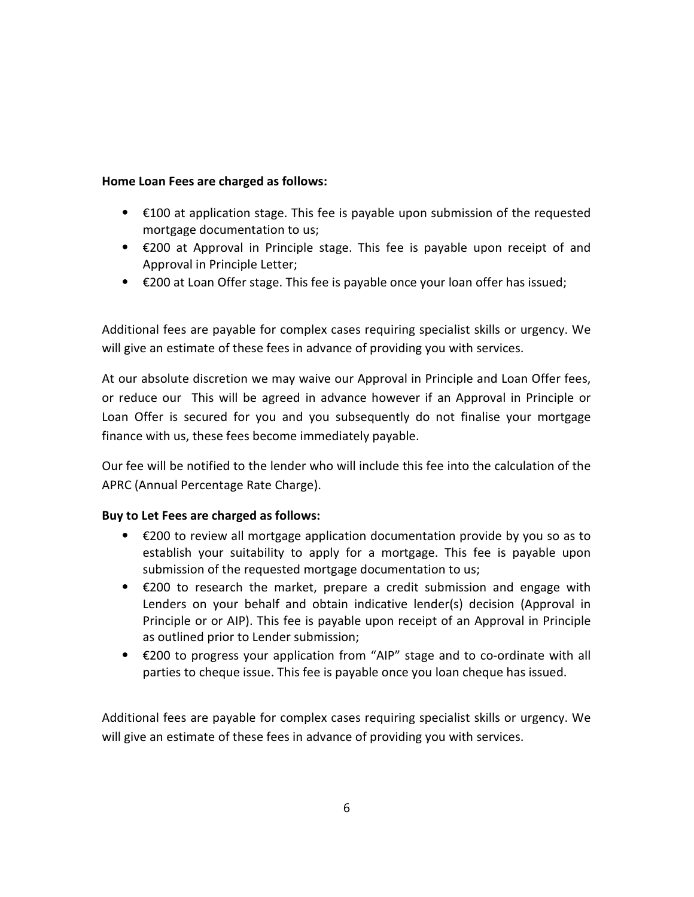# Home Loan Fees are charged as follows:

- ⦁ €100 at application stage. This fee is payable upon submission of the requested mortgage documentation to us;
- ⦁ €200 at Approval in Principle stage. This fee is payable upon receipt of and Approval in Principle Letter;
- ⦁ €200 at Loan Offer stage. This fee is payable once your loan offer has issued;

Additional fees are payable for complex cases requiring specialist skills or urgency. We will give an estimate of these fees in advance of providing you with services.

At our absolute discretion we may waive our Approval in Principle and Loan Offer fees, or reduce our This will be agreed in advance however if an Approval in Principle or Loan Offer is secured for you and you subsequently do not finalise your mortgage finance with us, these fees become immediately payable.

Our fee will be notified to the lender who will include this fee into the calculation of the APRC (Annual Percentage Rate Charge).

# Buy to Let Fees are charged as follows:

- ⦁ €200 to review all mortgage application documentation provide by you so as to establish your suitability to apply for a mortgage. This fee is payable upon submission of the requested mortgage documentation to us;
- $\bullet$   $\epsilon$ 200 to research the market, prepare a credit submission and engage with Lenders on your behalf and obtain indicative lender(s) decision (Approval in Principle or or AIP). This fee is payable upon receipt of an Approval in Principle as outlined prior to Lender submission;
- ⦁ €200 to progress your application from "AIP" stage and to co-ordinate with all parties to cheque issue. This fee is payable once you loan cheque has issued.

Additional fees are payable for complex cases requiring specialist skills or urgency. We will give an estimate of these fees in advance of providing you with services.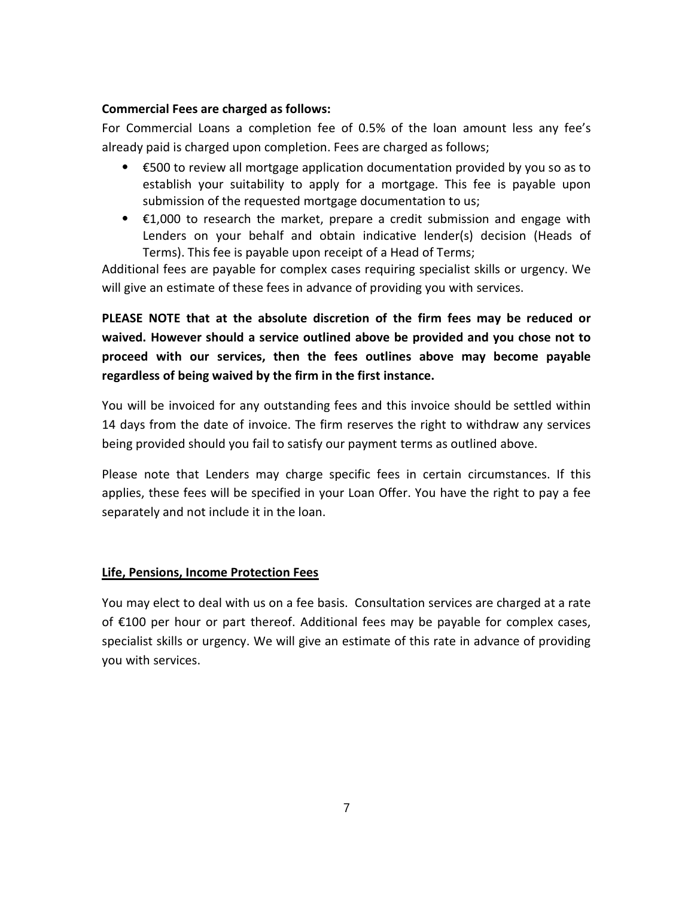# Commercial Fees are charged as follows:

For Commercial Loans a completion fee of 0.5% of the loan amount less any fee's already paid is charged upon completion. Fees are charged as follows;

- ⦁ €500 to review all mortgage application documentation provided by you so as to establish your suitability to apply for a mortgage. This fee is payable upon submission of the requested mortgage documentation to us;
- $\bullet$   $\epsilon$ 1,000 to research the market, prepare a credit submission and engage with Lenders on your behalf and obtain indicative lender(s) decision (Heads of Terms). This fee is payable upon receipt of a Head of Terms;

Additional fees are payable for complex cases requiring specialist skills or urgency. We will give an estimate of these fees in advance of providing you with services.

PLEASE NOTE that at the absolute discretion of the firm fees may be reduced or waived. However should a service outlined above be provided and you chose not to proceed with our services, then the fees outlines above may become payable regardless of being waived by the firm in the first instance.

You will be invoiced for any outstanding fees and this invoice should be settled within 14 days from the date of invoice. The firm reserves the right to withdraw any services being provided should you fail to satisfy our payment terms as outlined above.

Please note that Lenders may charge specific fees in certain circumstances. If this applies, these fees will be specified in your Loan Offer. You have the right to pay a fee separately and not include it in the loan.

# Life, Pensions, Income Protection Fees

You may elect to deal with us on a fee basis. Consultation services are charged at a rate of €100 per hour or part thereof. Additional fees may be payable for complex cases, specialist skills or urgency. We will give an estimate of this rate in advance of providing you with services.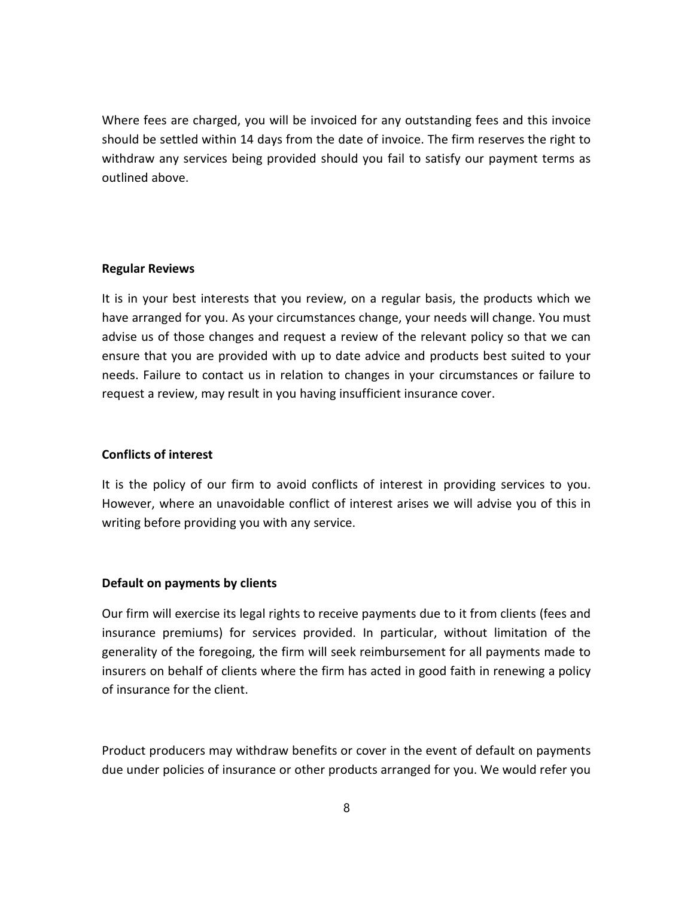Where fees are charged, you will be invoiced for any outstanding fees and this invoice should be settled within 14 days from the date of invoice. The firm reserves the right to withdraw any services being provided should you fail to satisfy our payment terms as outlined above.

### Regular Reviews

It is in your best interests that you review, on a regular basis, the products which we have arranged for you. As your circumstances change, your needs will change. You must advise us of those changes and request a review of the relevant policy so that we can ensure that you are provided with up to date advice and products best suited to your needs. Failure to contact us in relation to changes in your circumstances or failure to request a review, may result in you having insufficient insurance cover.

### Conflicts of interest

It is the policy of our firm to avoid conflicts of interest in providing services to you. However, where an unavoidable conflict of interest arises we will advise you of this in writing before providing you with any service.

### Default on payments by clients

Our firm will exercise its legal rights to receive payments due to it from clients (fees and insurance premiums) for services provided. In particular, without limitation of the generality of the foregoing, the firm will seek reimbursement for all payments made to insurers on behalf of clients where the firm has acted in good faith in renewing a policy of insurance for the client.

Product producers may withdraw benefits or cover in the event of default on payments due under policies of insurance or other products arranged for you. We would refer you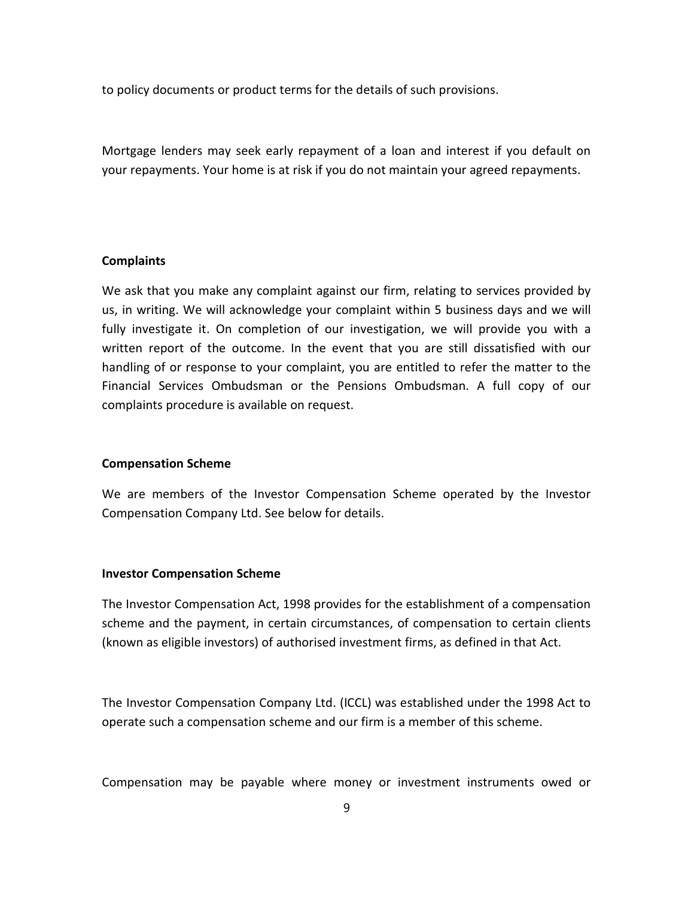to policy documents or product terms for the details of such provisions.

Mortgage lenders may seek early repayment of a loan and interest if you default on your repayments. Your home is at risk if you do not maintain your agreed repayments.

### **Complaints**

We ask that you make any complaint against our firm, relating to services provided by us, in writing. We will acknowledge your complaint within 5 business days and we will fully investigate it. On completion of our investigation, we will provide you with a written report of the outcome. In the event that you are still dissatisfied with our handling of or response to your complaint, you are entitled to refer the matter to the Financial Services Ombudsman or the Pensions Ombudsman. A full copy of our complaints procedure is available on request.

#### Compensation Scheme

We are members of the Investor Compensation Scheme operated by the Investor Compensation Company Ltd. See below for details.

#### Investor Compensation Scheme

The Investor Compensation Act, 1998 provides for the establishment of a compensation scheme and the payment, in certain circumstances, of compensation to certain clients (known as eligible investors) of authorised investment firms, as defined in that Act.

The Investor Compensation Company Ltd. (ICCL) was established under the 1998 Act to operate such a compensation scheme and our firm is a member of this scheme.

Compensation may be payable where money or investment instruments owed or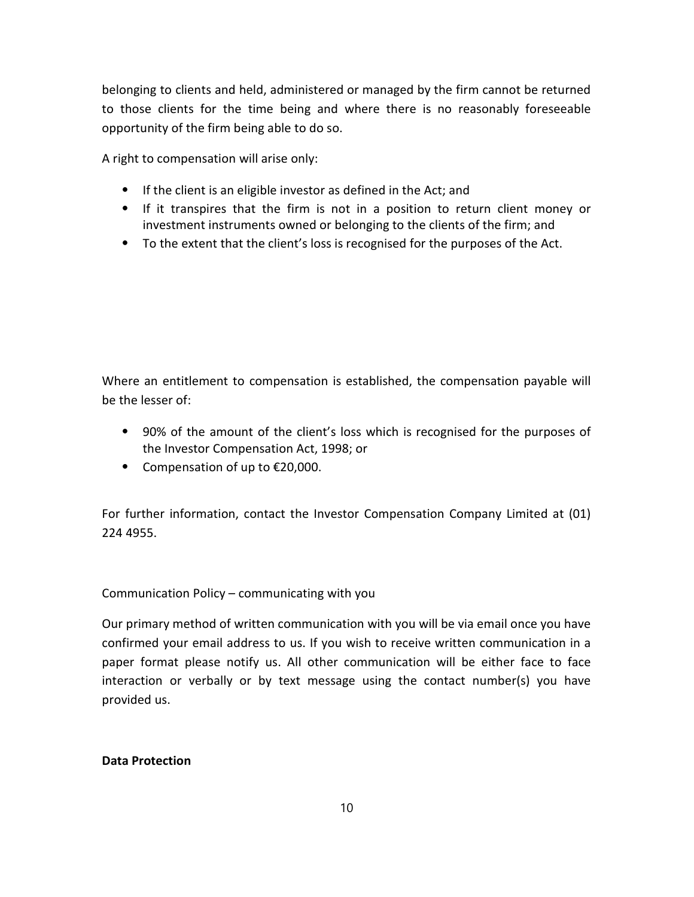belonging to clients and held, administered or managed by the firm cannot be returned to those clients for the time being and where there is no reasonably foreseeable opportunity of the firm being able to do so.

A right to compensation will arise only:

- ⦁ If the client is an eligible investor as defined in the Act; and
- ⦁ If it transpires that the firm is not in a position to return client money or investment instruments owned or belonging to the clients of the firm; and
- ⦁ To the extent that the client's loss is recognised for the purposes of the Act.

Where an entitlement to compensation is established, the compensation payable will be the lesser of:

- ⦁ 90% of the amount of the client's loss which is recognised for the purposes of the Investor Compensation Act, 1998; or
- ⦁ Compensation of up to €20,000.

For further information, contact the Investor Compensation Company Limited at (01) 224 4955.

Communication Policy – communicating with you

Our primary method of written communication with you will be via email once you have confirmed your email address to us. If you wish to receive written communication in a paper format please notify us. All other communication will be either face to face interaction or verbally or by text message using the contact number(s) you have provided us.

# Data Protection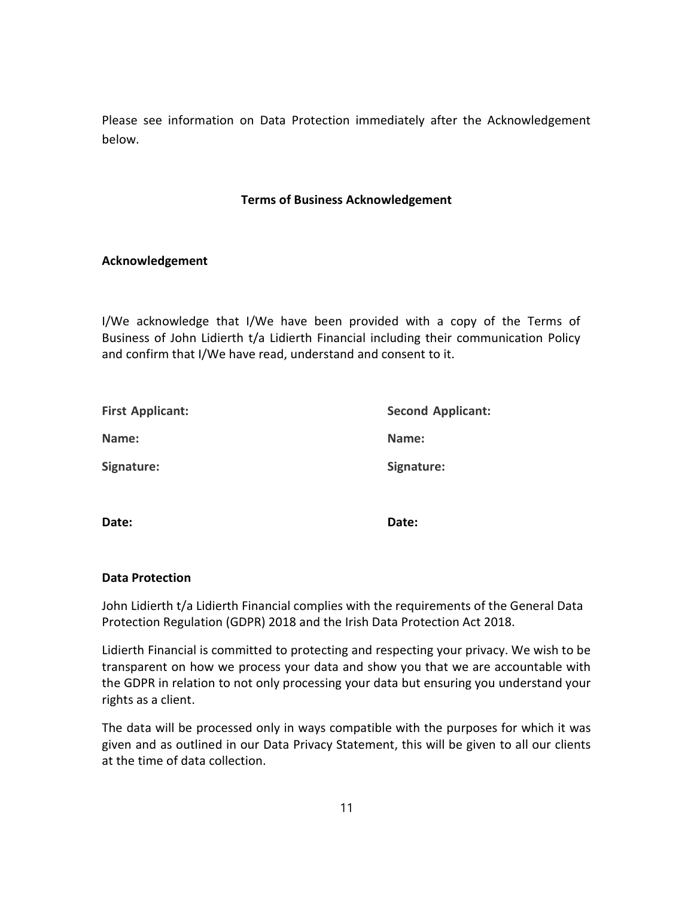Please see information on Data Protection immediately after the Acknowledgement below.

## Terms of Business Acknowledgement

## Acknowledgement

I/We acknowledge that I/We have been provided with a copy of the Terms of Business of John Lidierth t/a Lidierth Financial including their communication Policy and confirm that I/We have read, understand and consent to it.

| <b>First Applicant:</b> | <b>Second Applicant:</b> |
|-------------------------|--------------------------|
| Name:                   | Name:                    |
| Signature:              | Signature:               |

Date: **Date:** Date: **Date:** Date: **Date:** 

### Data Protection

John Lidierth t/a Lidierth Financial complies with the requirements of the General Data Protection Regulation (GDPR) 2018 and the Irish Data Protection Act 2018.

Lidierth Financial is committed to protecting and respecting your privacy. We wish to be transparent on how we process your data and show you that we are accountable with the GDPR in relation to not only processing your data but ensuring you understand your rights as a client.

The data will be processed only in ways compatible with the purposes for which it was given and as outlined in our Data Privacy Statement, this will be given to all our clients at the time of data collection.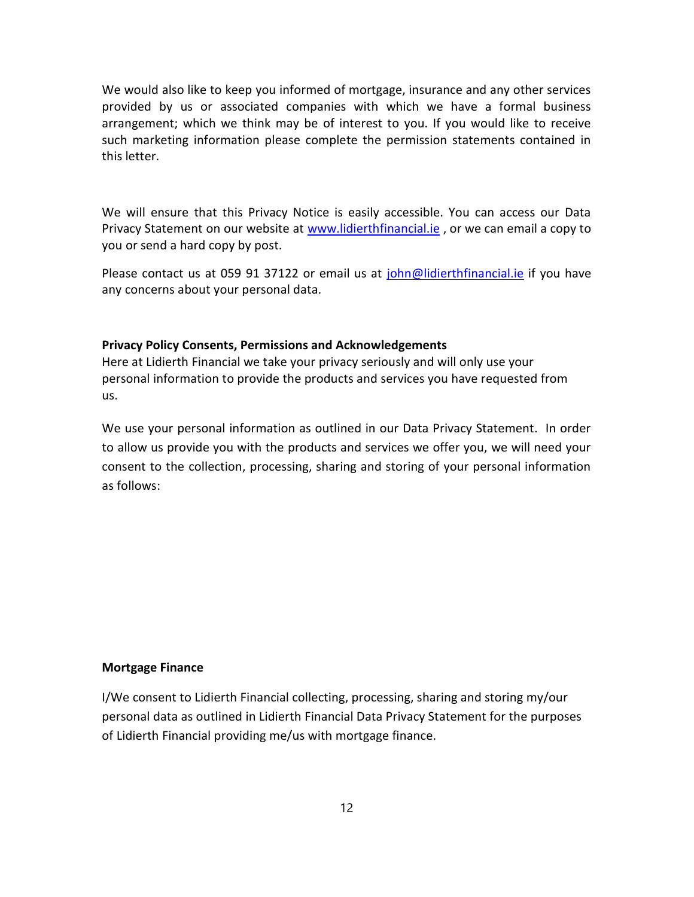We would also like to keep you informed of mortgage, insurance and any other services provided by us or associated companies with which we have a formal business arrangement; which we think may be of interest to you. If you would like to receive such marketing information please complete the permission statements contained in this letter.

We will ensure that this Privacy Notice is easily accessible. You can access our Data Privacy Statement on our website at www.lidierthfinancial.ie , or we can email a copy to you or send a hard copy by post.

Please contact us at 059 91 37122 or email us at john@lidierthfinancial.ie if you have any concerns about your personal data.

### Privacy Policy Consents, Permissions and Acknowledgements

Here at Lidierth Financial we take your privacy seriously and will only use your personal information to provide the products and services you have requested from us.

We use your personal information as outlined in our Data Privacy Statement. In order to allow us provide you with the products and services we offer you, we will need your consent to the collection, processing, sharing and storing of your personal information as follows:

### Mortgage Finance

I/We consent to Lidierth Financial collecting, processing, sharing and storing my/our personal data as outlined in Lidierth Financial Data Privacy Statement for the purposes of Lidierth Financial providing me/us with mortgage finance.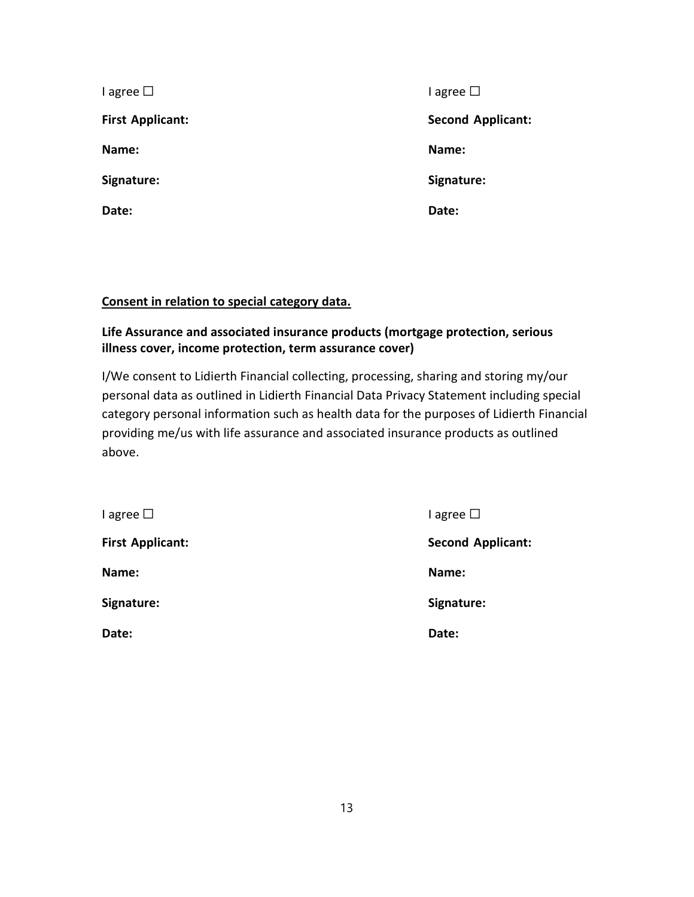| $I$ agree $\Box$        | I agree $\square$        |
|-------------------------|--------------------------|
| <b>First Applicant:</b> | <b>Second Applicant:</b> |
| Name:                   | Name:                    |
| Signature:              | Signature:               |
| Date:                   | Date:                    |

# Consent in relation to special category data.

# Life Assurance and associated insurance products (mortgage protection, serious illness cover, income protection, term assurance cover)

I/We consent to Lidierth Financial collecting, processing, sharing and storing my/our personal data as outlined in Lidierth Financial Data Privacy Statement including special category personal information such as health data for the purposes of Lidierth Financial providing me/us with life assurance and associated insurance products as outlined above.

| $I$ agree $\Box$        | I agree $\Box$           |
|-------------------------|--------------------------|
| <b>First Applicant:</b> | <b>Second Applicant:</b> |
| Name:                   | Name:                    |
| Signature:              | Signature:               |
| Date:                   | Date:                    |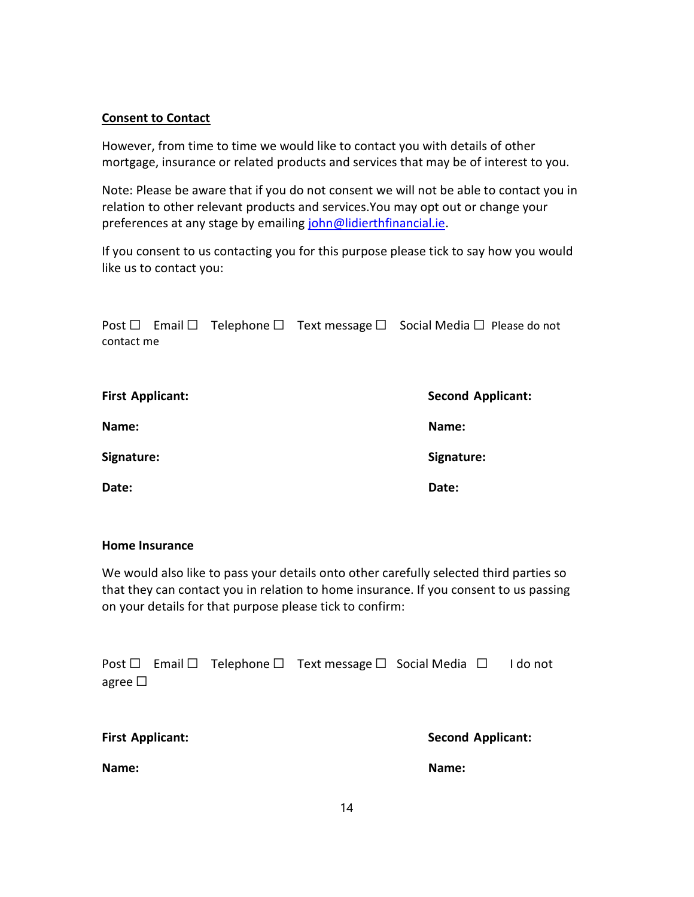## Consent to Contact

However, from time to time we would like to contact you with details of other mortgage, insurance or related products and services that may be of interest to you.

Note: Please be aware that if you do not consent we will not be able to contact you in relation to other relevant products and services.You may opt out or change your preferences at any stage by emailing john@lidierthfinancial.ie.

If you consent to us contacting you for this purpose please tick to say how you would like us to contact you:

|                         |  | Post $\Box$ Email $\Box$ Telephone $\Box$ Text message $\Box$ Social Media $\Box$ Please do not |
|-------------------------|--|-------------------------------------------------------------------------------------------------|
| contact me              |  |                                                                                                 |
|                         |  |                                                                                                 |
| <b>First Applicant:</b> |  | <b>Second Applicant:</b>                                                                        |
| Name:                   |  | Name:                                                                                           |
|                         |  |                                                                                                 |
| Signature:              |  | Signature:                                                                                      |
| Date:                   |  | Date:                                                                                           |

### Home Insurance

We would also like to pass your details onto other carefully selected third parties so that they can contact you in relation to home insurance. If you consent to us passing on your details for that purpose please tick to confirm:

|              |  | Post $\Box$ Email $\Box$ Telephone $\Box$ Text message $\Box$ Social Media $\Box$ I do not |  |  |
|--------------|--|--------------------------------------------------------------------------------------------|--|--|
| agree $\Box$ |  |                                                                                            |  |  |

| <b>First Applicant:</b> | <b>Second Applicant:</b> |
|-------------------------|--------------------------|
| Name:                   | Name:                    |